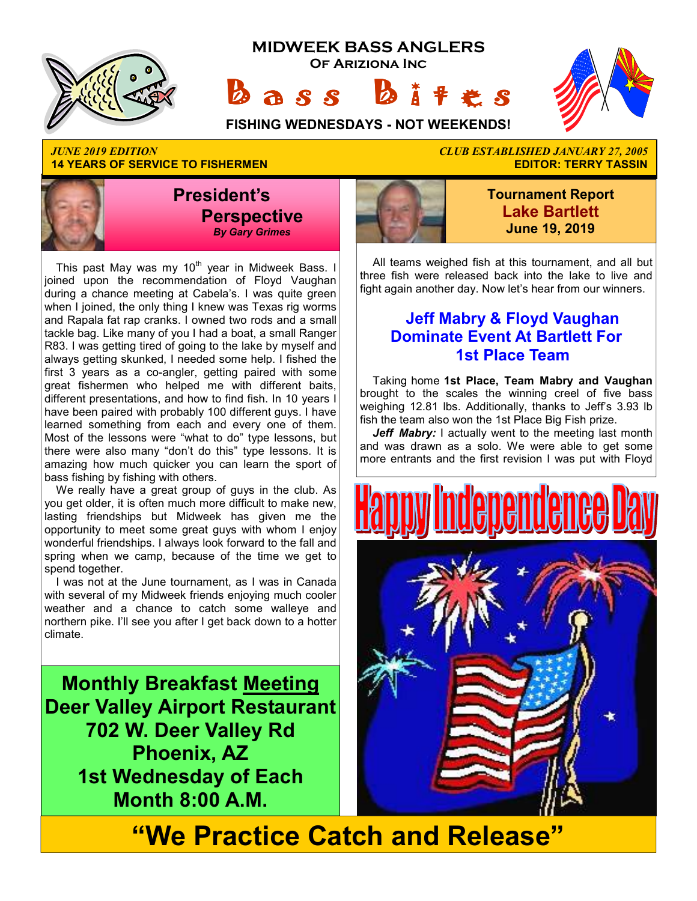





**14 YEARS OF SERVICE TO FISHERMEN** 



This past May was my 10<sup>th</sup> year in Midweek Bass. I joined upon the recommendation of Floyd Vaughan during a chance meeting at Cabela's. I was quite green when I joined, the only thing I knew was Texas rig worms and Rapala fat rap cranks. I owned two rods and a small tackle bag. Like many of you I had a boat, a small Ranger R83. I was getting tired of going to the lake by myself and always getting skunked, I needed some help. I fished the first 3 years as a co-angler, getting paired with some great fishermen who helped me with different baits, different presentations, and how to find fish. In 10 years I have been paired with probably 100 different guys. I have learned something from each and every one of them. Most of the lessons were "what to do" type lessons, but there were also many "don't do this" type lessons. It is amazing how much quicker you can learn the sport of bass fishing by fishing with others.

We really have a great group of guys in the club. As you get older, it is often much more difficult to make new, lasting friendships but Midweek has given me the opportunity to meet some great guys with whom I enjoy wonderful friendships. I always look forward to the fall and spring when we camp, because of the time we get to spend together.

I was not at the June tournament, as I was in Canada with several of my Midweek friends enjoying much cooler weather and a chance to catch some walleye and northern pike. I'll see you after I get back down to a hotter climate.

**Monthly Breakfast Meeting Deer Valley Airport Restaurant 702 W. Deer Valley Rd Phoenix, AZ 1st Wednesday of Each Month 8:00 A.M.** 

# *JUNE 2019 EDITION CLUB ESTABLISHED JANUARY 27, 2005*



**Tournament Report Lake Bartlett June 19, 2019**

All teams weighed fish at this tournament, and all but three fish were released back into the lake to live and fight again another day. Now let's hear from our winners.

### **Jeff Mabry & Floyd Vaughan Dominate Event At Bartlett For 1st Place Team**

Taking home **1st Place, Team Mabry and Vaughan**  brought to the scales the winning creel of five bass weighing 12.81 lbs. Additionally, thanks to Jeff's 3.93 lb fish the team also won the 1st Place Big Fish prize.

Jeff Mabry: I actually went to the meeting last month and was drawn as a solo. We were able to get some more entrants and the first revision I was put with Floyd



**"We Practice Catch and Release"**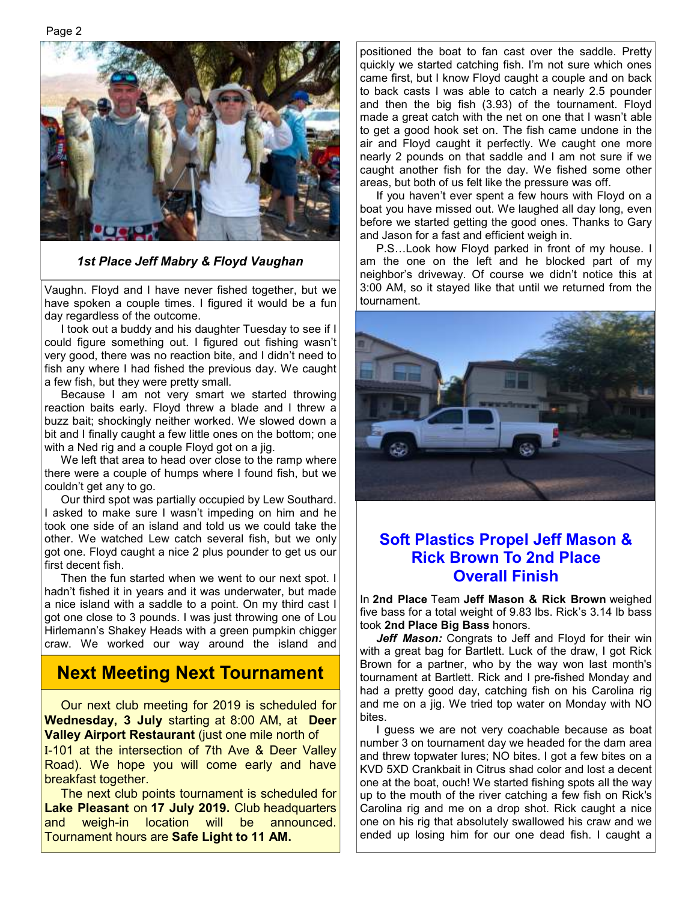Page 2



#### *1st Place Jeff Mabry & Floyd Vaughan*

Vaughn. Floyd and I have never fished together, but we have spoken a couple times. I figured it would be a fun day regardless of the outcome.

 I took out a buddy and his daughter Tuesday to see if I could figure something out. I figured out fishing wasn't very good, there was no reaction bite, and I didn't need to fish any where I had fished the previous day. We caught a few fish, but they were pretty small.

 Because I am not very smart we started throwing reaction baits early. Floyd threw a blade and I threw a buzz bait; shockingly neither worked. We slowed down a bit and I finally caught a few little ones on the bottom; one with a Ned rig and a couple Floyd got on a jig.

 We left that area to head over close to the ramp where there were a couple of humps where I found fish, but we couldn't get any to go.

 Our third spot was partially occupied by Lew Southard. I asked to make sure I wasn't impeding on him and he took one side of an island and told us we could take the other. We watched Lew catch several fish, but we only got one. Floyd caught a nice 2 plus pounder to get us our first decent fish.

 Then the fun started when we went to our next spot. I hadn't fished it in years and it was underwater, but made a nice island with a saddle to a point. On my third cast I got one close to 3 pounds. I was just throwing one of Lou Hirlemann's Shakey Heads with a green pumpkin chigger craw. We worked our way around the island and

### **Next Meeting Next Tournament**

 Our next club meeting for 2019 is scheduled for **Wednesday, 3 July** starting at 8:00 AM, at **Deer Valley Airport Restaurant** (just one mile north of I-101 at the intersection of 7th Ave & Deer Valley Road). We hope you will come early and have breakfast together.

 The next club points tournament is scheduled for **Lake Pleasant** on **17 July 2019.** Club headquarters and weigh-in location will be announced. Tournament hours are **Safe Light to 11 AM.** 

positioned the boat to fan cast over the saddle. Pretty quickly we started catching fish. I'm not sure which ones came first, but I know Floyd caught a couple and on back to back casts I was able to catch a nearly 2.5 pounder and then the big fish (3.93) of the tournament. Floyd made a great catch with the net on one that I wasn't able to get a good hook set on. The fish came undone in the air and Floyd caught it perfectly. We caught one more nearly 2 pounds on that saddle and I am not sure if we caught another fish for the day. We fished some other areas, but both of us felt like the pressure was off.

 If you haven't ever spent a few hours with Floyd on a boat you have missed out. We laughed all day long, even before we started getting the good ones. Thanks to Gary and Jason for a fast and efficient weigh in.

 P.S…Look how Floyd parked in front of my house. I am the one on the left and he blocked part of my neighbor's driveway. Of course we didn't notice this at 3:00 AM, so it stayed like that until we returned from the tournament.



#### **Soft Plastics Propel Jeff Mason & Rick Brown To 2nd Place Overall Finish**

In **2nd Place** Team **Jeff Mason & Rick Brown** weighed five bass for a total weight of 9.83 lbs. Rick's 3.14 lb bass took **2nd Place Big Bass** honors.

Jeff Mason: Congrats to Jeff and Floyd for their win with a great bag for Bartlett. Luck of the draw, I got Rick Brown for a partner, who by the way won last month's tournament at Bartlett. Rick and I pre-fished Monday and had a pretty good day, catching fish on his Carolina rig and me on a jig. We tried top water on Monday with NO bites.

 I guess we are not very coachable because as boat number 3 on tournament day we headed for the dam area and threw topwater lures; NO bites. I got a few bites on a KVD 5XD Crankbait in Citrus shad color and lost a decent one at the boat, ouch! We started fishing spots all the way up to the mouth of the river catching a few fish on Rick's Carolina rig and me on a drop shot. Rick caught a nice one on his rig that absolutely swallowed his craw and we ended up losing him for our one dead fish. I caught a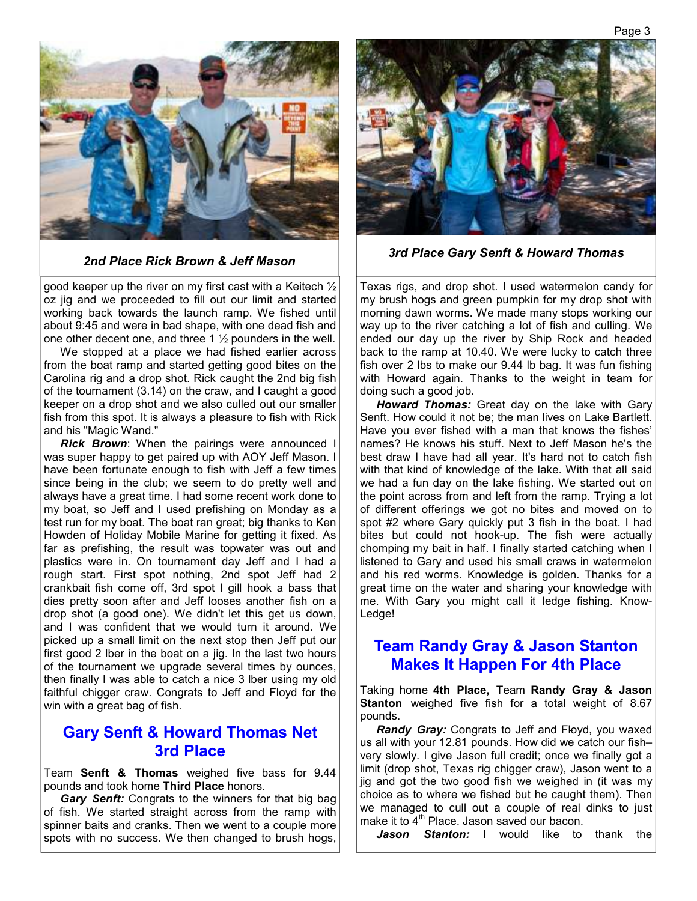

good keeper up the river on my first cast with a Keitech  $\frac{1}{2}$ oz jig and we proceeded to fill out our limit and started working back towards the launch ramp. We fished until about 9:45 and were in bad shape, with one dead fish and one other decent one, and three 1  $\frac{1}{2}$  pounders in the well.

 We stopped at a place we had fished earlier across from the boat ramp and started getting good bites on the Carolina rig and a drop shot. Rick caught the 2nd big fish of the tournament (3.14) on the craw, and I caught a good keeper on a drop shot and we also culled out our smaller fish from this spot. It is always a pleasure to fish with Rick and his "Magic Wand."

*Rick Brown*: When the pairings were announced I was super happy to get paired up with AOY Jeff Mason. I have been fortunate enough to fish with Jeff a few times since being in the club; we seem to do pretty well and always have a great time. I had some recent work done to my boat, so Jeff and I used prefishing on Monday as a test run for my boat. The boat ran great; big thanks to Ken Howden of Holiday Mobile Marine for getting it fixed. As far as prefishing, the result was topwater was out and plastics were in. On tournament day Jeff and I had a rough start. First spot nothing, 2nd spot Jeff had 2 crankbait fish come off, 3rd spot I gill hook a bass that dies pretty soon after and Jeff looses another fish on a drop shot (a good one). We didn't let this get us down, and I was confident that we would turn it around. We picked up a small limit on the next stop then Jeff put our first good 2 lber in the boat on a jig. In the last two hours of the tournament we upgrade several times by ounces, then finally I was able to catch a nice 3 lber using my old faithful chigger craw. Congrats to Jeff and Floyd for the win with a great bag of fish.

#### **Gary Senft & Howard Thomas Net 3rd Place**

Team **Senft & Thomas** weighed five bass for 9.44 pounds and took home **Third Place** honors.

 *Gary Senft:* Congrats to the winners for that big bag of fish. We started straight across from the ramp with spinner baits and cranks. Then we went to a couple more spots with no success. We then changed to brush hogs,



*2nd Place Rick Brown & Jeff Mason 3rd Place Gary Senft & Howard Thomas*

Texas rigs, and drop shot. I used watermelon candy for my brush hogs and green pumpkin for my drop shot with morning dawn worms. We made many stops working our way up to the river catching a lot of fish and culling. We ended our day up the river by Ship Rock and headed back to the ramp at 10.40. We were lucky to catch three fish over 2 lbs to make our 9.44 lb bag. It was fun fishing with Howard again. Thanks to the weight in team for doing such a good job.

*Howard Thomas:* Great day on the lake with Gary Senft. How could it not be; the man lives on Lake Bartlett. Have you ever fished with a man that knows the fishes' names? He knows his stuff. Next to Jeff Mason he's the best draw I have had all year. It's hard not to catch fish with that kind of knowledge of the lake. With that all said we had a fun day on the lake fishing. We started out on the point across from and left from the ramp. Trying a lot of different offerings we got no bites and moved on to spot #2 where Gary quickly put 3 fish in the boat. I had bites but could not hook-up. The fish were actually chomping my bait in half. I finally started catching when I listened to Gary and used his small craws in watermelon and his red worms. Knowledge is golden. Thanks for a great time on the water and sharing your knowledge with me. With Gary you might call it ledge fishing. Know-Ledge!

#### **Team Randy Gray & Jason Stanton Makes It Happen For 4th Place**

Taking home **4th Place,** Team **Randy Gray & Jason Stanton** weighed five fish for a total weight of 8.67 pounds.

*Randy Gray: Congrats to Jeff and Floyd, you waxed* us all with your 12.81 pounds. How did we catch our fish– very slowly. I give Jason full credit; once we finally got a limit (drop shot, Texas rig chigger craw), Jason went to a jig and got the two good fish we weighed in (it was my choice as to where we fished but he caught them). Then we managed to cull out a couple of real dinks to just make it to  $4<sup>th</sup>$  Place. Jason saved our bacon.

Jason Stanton: I would like to thank the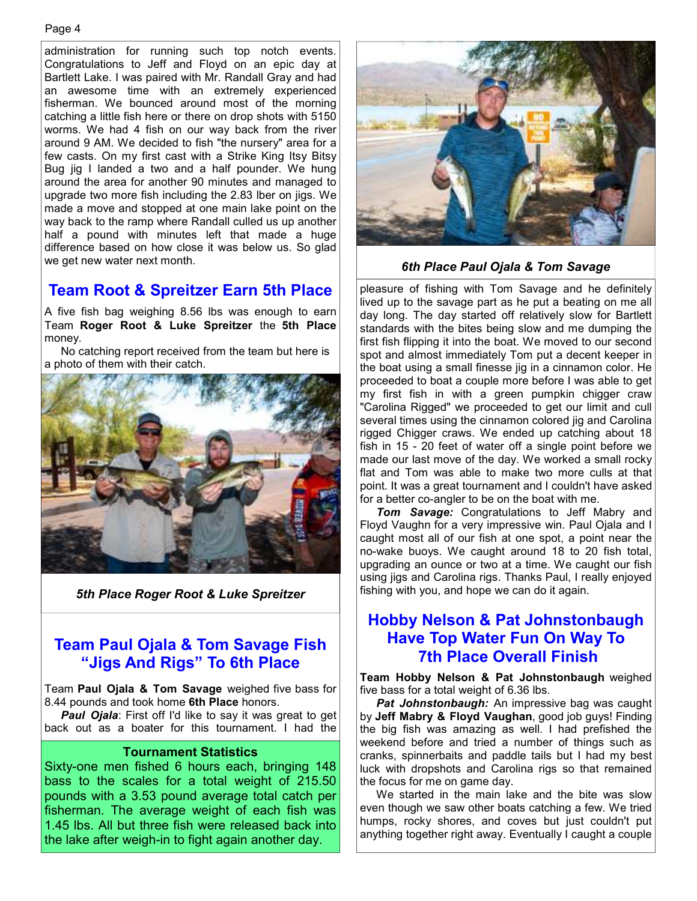administration for running such top notch events. Congratulations to Jeff and Floyd on an epic day at Bartlett Lake. I was paired with Mr. Randall Gray and had an awesome time with an extremely experienced fisherman. We bounced around most of the morning catching a little fish here or there on drop shots with 5150 worms. We had 4 fish on our way back from the river around 9 AM. We decided to fish "the nursery" area for a few casts. On my first cast with a Strike King Itsy Bitsy Bug jig I landed a two and a half pounder. We hung around the area for another 90 minutes and managed to upgrade two more fish including the 2.83 lber on jigs. We made a move and stopped at one main lake point on the way back to the ramp where Randall culled us up another half a pound with minutes left that made a huge difference based on how close it was below us. So glad we get new water next month.

### **Team Root & Spreitzer Earn 5th Place**

A five fish bag weighing 8.56 lbs was enough to earn Team **Roger Root & Luke Spreitzer** the **5th Place**  money.

 No catching report received from the team but here is a photo of them with their catch.



*5th Place Roger Root & Luke Spreitzer* 

### **Team Paul Ojala & Tom Savage Fish "Jigs And Rigs" To 6th Place**

Team **Paul Ojala & Tom Savage** weighed five bass for 8.44 pounds and took home **6th Place** honors.

*Paul Ojala*: First off I'd like to say it was great to get back out as a boater for this tournament. I had the

#### **Tournament Statistics**

Sixty-one men fished 6 hours each, bringing 148 bass to the scales for a total weight of 215.50 pounds with a 3.53 pound average total catch per fisherman. The average weight of each fish was 1.45 lbs. All but three fish were released back into the lake after weigh-in to fight again another day.



*6th Place Paul Ojala & Tom Savage* 

pleasure of fishing with Tom Savage and he definitely lived up to the savage part as he put a beating on me all day long. The day started off relatively slow for Bartlett standards with the bites being slow and me dumping the first fish flipping it into the boat. We moved to our second spot and almost immediately Tom put a decent keeper in the boat using a small finesse jig in a cinnamon color. He proceeded to boat a couple more before I was able to get my first fish in with a green pumpkin chigger craw "Carolina Rigged" we proceeded to get our limit and cull several times using the cinnamon colored jig and Carolina rigged Chigger craws. We ended up catching about 18 fish in 15 - 20 feet of water off a single point before we made our last move of the day. We worked a small rocky flat and Tom was able to make two more culls at that point. It was a great tournament and I couldn't have asked for a better co-angler to be on the boat with me.

*Tom Savage:* Congratulations to Jeff Mabry and Floyd Vaughn for a very impressive win. Paul Ojala and I caught most all of our fish at one spot, a point near the no-wake buoys. We caught around 18 to 20 fish total, upgrading an ounce or two at a time. We caught our fish using jigs and Carolina rigs. Thanks Paul, I really enjoyed fishing with you, and hope we can do it again.

#### **Hobby Nelson & Pat Johnstonbaugh Have Top Water Fun On Way To 7th Place Overall Finish**

**Team Hobby Nelson & Pat Johnstonbaugh** weighed five bass for a total weight of 6.36 lbs.

*Pat Johnstonbaugh:* An impressive bag was caught by **Jeff Mabry & Floyd Vaughan**, good job guys! Finding the big fish was amazing as well. I had prefished the weekend before and tried a number of things such as cranks, spinnerbaits and paddle tails but I had my best luck with dropshots and Carolina rigs so that remained the focus for me on game day.

 We started in the main lake and the bite was slow even though we saw other boats catching a few. We tried humps, rocky shores, and coves but just couldn't put anything together right away. Eventually I caught a couple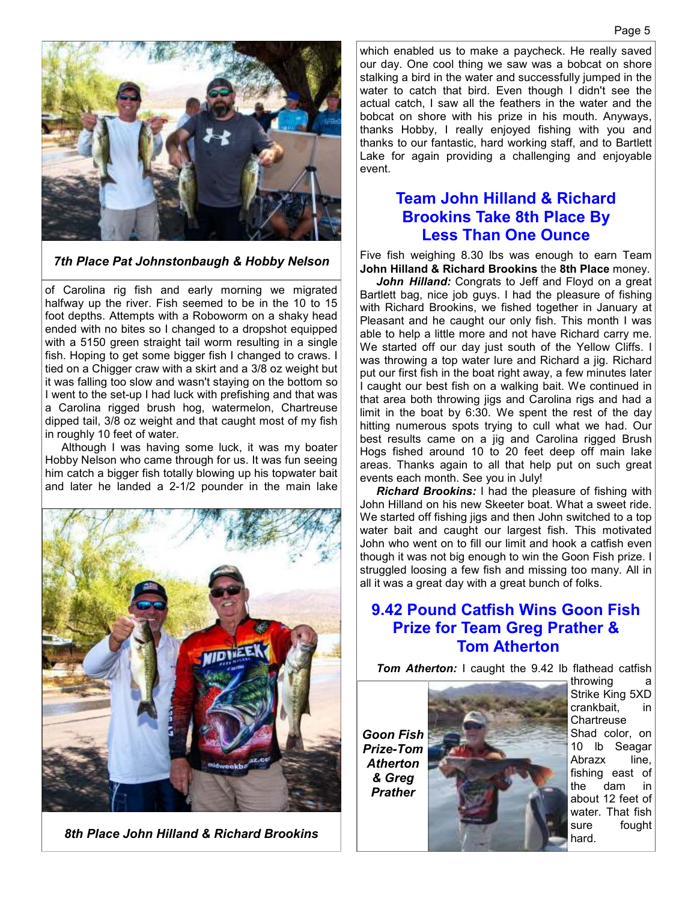

*7th Place Pat Johnstonbaugh & Hobby Nelson*

of Carolina rig fish and early morning we migrated halfway up the river. Fish seemed to be in the 10 to 15 foot depths. Attempts with a Roboworm on a shaky head ended with no bites so I changed to a dropshot equipped with a 5150 green straight tail worm resulting in a single fish. Hoping to get some bigger fish I changed to craws. I tied on a Chigger craw with a skirt and a 3/8 oz weight but it was falling too slow and wasn't staying on the bottom so I went to the set-up I had luck with prefishing and that was a Carolina rigged brush hog, watermelon, Chartreuse dipped tail, 3/8 oz weight and that caught most of my fish in roughly 10 feet of water.

 Although I was having some luck, it was my boater Hobby Nelson who came through for us. It was fun seeing him catch a bigger fish totally blowing up his topwater bait and later he landed a 2-1/2 pounder in the main lake



*8th Place John Hilland & Richard Brookins* 

which enabled us to make a paycheck. He really saved our day. One cool thing we saw was a bobcat on shore stalking a bird in the water and successfully jumped in the water to catch that bird. Even though I didn't see the actual catch, I saw all the feathers in the water and the bobcat on shore with his prize in his mouth. Anyways, thanks Hobby, I really enjoyed fishing with you and thanks to our fantastic, hard working staff, and to Bartlett Lake for again providing a challenging and enjoyable event.

#### **Team John Hilland & Richard Brookins Take 8th Place By Less Than One Ounce**

Five fish weighing 8.30 lbs was enough to earn Team **John Hilland & Richard Brookins** the **8th Place** money.

*John Hilland:* Congrats to Jeff and Floyd on a great Bartlett bag, nice job guys. I had the pleasure of fishing with Richard Brookins, we fished together in January at Pleasant and he caught our only fish. This month I was able to help a little more and not have Richard carry me. We started off our day just south of the Yellow Cliffs. I was throwing a top water lure and Richard a jig. Richard put our first fish in the boat right away, a few minutes later I caught our best fish on a walking bait. We continued in that area both throwing jigs and Carolina rigs and had a limit in the boat by 6:30. We spent the rest of the day hitting numerous spots trying to cull what we had. Our best results came on a jig and Carolina rigged Brush Hogs fished around 10 to 20 feet deep off main lake areas. Thanks again to all that help put on such great events each month. See you in July!

*Richard Brookins:* I had the pleasure of fishing with John Hilland on his new Skeeter boat. What a sweet ride. We started off fishing jigs and then John switched to a top water bait and caught our largest fish. This motivated John who went on to fill our limit and hook a catfish even though it was not big enough to win the Goon Fish prize. I struggled loosing a few fish and missing too many. All in all it was a great day with a great bunch of folks.

#### **9.42 Pound Catfish Wins Goon Fish Prize for Team Greg Prather & Tom Atherton**

*Tom Atherton:* I caught the 9.42 lb flathead catfish

*Goon Fish Prize-Tom Atherton & Greg Prather* 



throwing a Strike King 5XD crankbait, in Chartreuse Shad color, on 10 lb Seagar Abrazx line, fishing east of the dam in about 12 feet of water. That fish sure fought hard.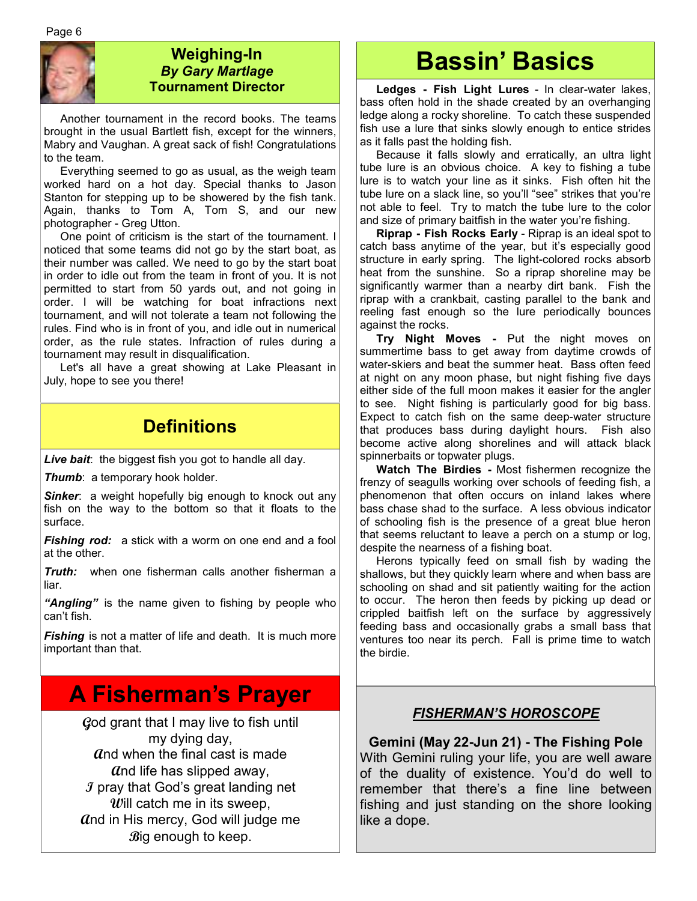Page 6



#### **Weighing-In**  *By Gary Martlage*  **Tournament Director**

 Another tournament in the record books. The teams brought in the usual Bartlett fish, except for the winners, Mabry and Vaughan. A great sack of fish! Congratulations to the team.

 Everything seemed to go as usual, as the weigh team worked hard on a hot day. Special thanks to Jason Stanton for stepping up to be showered by the fish tank. Again, thanks to Tom A, Tom S, and our new photographer - Greg Utton.

 One point of criticism is the start of the tournament. I noticed that some teams did not go by the start boat, as their number was called. We need to go by the start boat in order to idle out from the team in front of you. It is not permitted to start from 50 yards out, and not going in order. I will be watching for boat infractions next tournament, and will not tolerate a team not following the rules. Find who is in front of you, and idle out in numerical order, as the rule states. Infraction of rules during a tournament may result in disqualification.

 Let's all have a great showing at Lake Pleasant in July, hope to see you there!

### **Definitions**

*Live bait*: the biggest fish you got to handle all day.

*Thumb:* a temporary hook holder.

**Sinker**: a weight hopefully big enough to knock out any fish on the way to the bottom so that it floats to the surface.

*Fishing rod:* a stick with a worm on one end and a fool at the other.

*Truth:* when one fisherman calls another fisherman a liar.

*"Angling"* is the name given to fishing by people who can't fish.

**Fishing** is not a matter of life and death. It is much more important than that.

## **A Fisherman's Prayer**

**G**od grant that I may live to fish until my dying day, **A**nd when the final cast is made **A**nd life has slipped away, **I** pray that God's great landing net **W**ill catch me in its sweep, **A**nd in His mercy, God will judge me **B**ig enough to keep.

# **Bassin' Basics**

 **Ledges - Fish Light Lures** - In clear-water lakes, bass often hold in the shade created by an overhanging ledge along a rocky shoreline. To catch these suspended fish use a lure that sinks slowly enough to entice strides as it falls past the holding fish.

 Because it falls slowly and erratically, an ultra light tube lure is an obvious choice. A key to fishing a tube lure is to watch your line as it sinks. Fish often hit the tube lure on a slack line, so you'll "see" strikes that you're not able to feel. Try to match the tube lure to the color and size of primary baitfish in the water you're fishing.

**Riprap - Fish Rocks Early** - Riprap is an ideal spot to catch bass anytime of the year, but it's especially good structure in early spring. The light-colored rocks absorb heat from the sunshine. So a riprap shoreline may be significantly warmer than a nearby dirt bank. Fish the riprap with a crankbait, casting parallel to the bank and reeling fast enough so the lure periodically bounces against the rocks.

 **Try Night Moves -** Put the night moves on summertime bass to get away from daytime crowds of water-skiers and beat the summer heat. Bass often feed at night on any moon phase, but night fishing five days either side of the full moon makes it easier for the angler to see. Night fishing is particularly good for big bass. Expect to catch fish on the same deep-water structure that produces bass during daylight hours. Fish also become active along shorelines and will attack black spinnerbaits or topwater plugs.

**Watch The Birdies -** Most fishermen recognize the frenzy of seagulls working over schools of feeding fish, a phenomenon that often occurs on inland lakes where bass chase shad to the surface. A less obvious indicator of schooling fish is the presence of a great blue heron that seems reluctant to leave a perch on a stump or log, despite the nearness of a fishing boat.

 Herons typically feed on small fish by wading the shallows, but they quickly learn where and when bass are schooling on shad and sit patiently waiting for the action to occur. The heron then feeds by picking up dead or crippled baitfish left on the surface by aggressively feeding bass and occasionally grabs a small bass that ventures too near its perch. Fall is prime time to watch the birdie.

#### *FISHERMAN'S HOROSCOPE*

**Gemini (May 22-Jun 21) - The Fishing Pole**  With Gemini ruling your life, you are well aware of the duality of existence. You'd do well to remember that there's a fine line between fishing and just standing on the shore looking like a dope.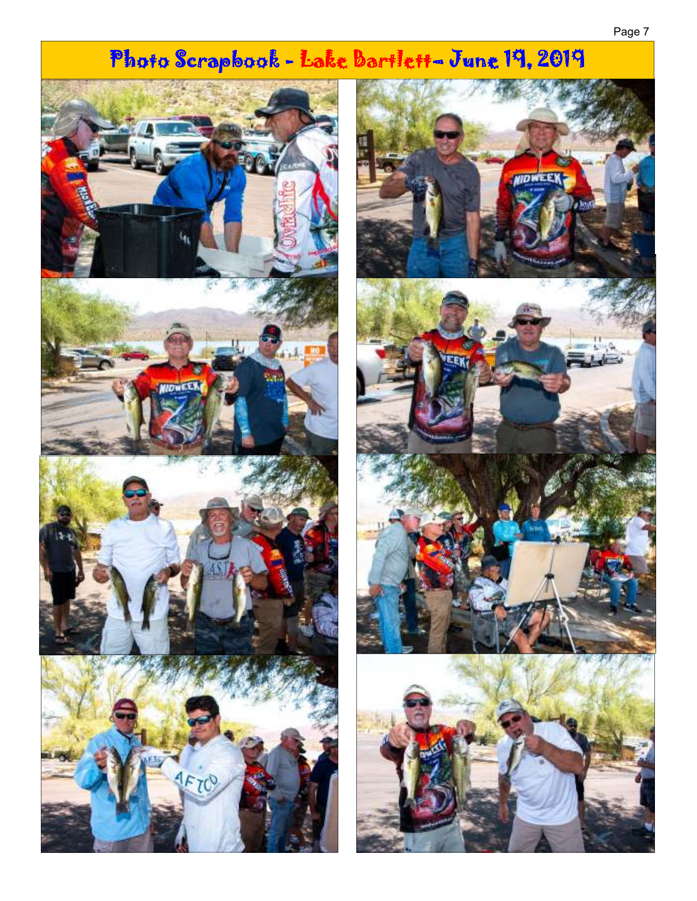#### Page 7

# Photo Scrapbook - Lake Bartlett- June 19, 2019